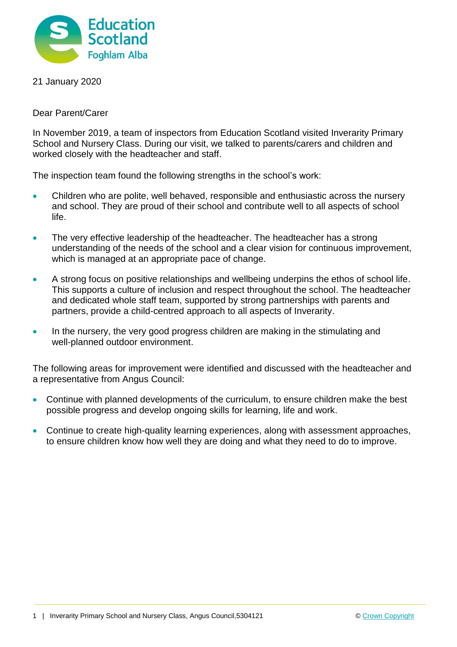

21 January 2020

Dear Parent/Carer

In November 2019, a team of inspectors from Education Scotland visited Inverarity Primary School and Nursery Class. During our visit, we talked to parents/carers and children and worked closely with the headteacher and staff.

The inspection team found the following strengths in the school's work:

- Children who are polite, well behaved, responsible and enthusiastic across the nursery and school. They are proud of their school and contribute well to all aspects of school life.
- The very effective leadership of the headteacher. The headteacher has a strong understanding of the needs of the school and a clear vision for continuous improvement, which is managed at an appropriate pace of change.
- A strong focus on positive relationships and wellbeing underpins the ethos of school life. This supports a culture of inclusion and respect throughout the school. The headteacher and dedicated whole staff team, supported by strong partnerships with parents and partners, provide a child-centred approach to all aspects of Inverarity.
- In the nursery, the very good progress children are making in the stimulating and well-planned outdoor environment.

The following areas for improvement were identified and discussed with the headteacher and a representative from Angus Council:

- Continue with planned developments of the curriculum, to ensure children make the best possible progress and develop ongoing skills for learning, life and work.
- Continue to create high-quality learning experiences, along with assessment approaches, to ensure children know how well they are doing and what they need to do to improve.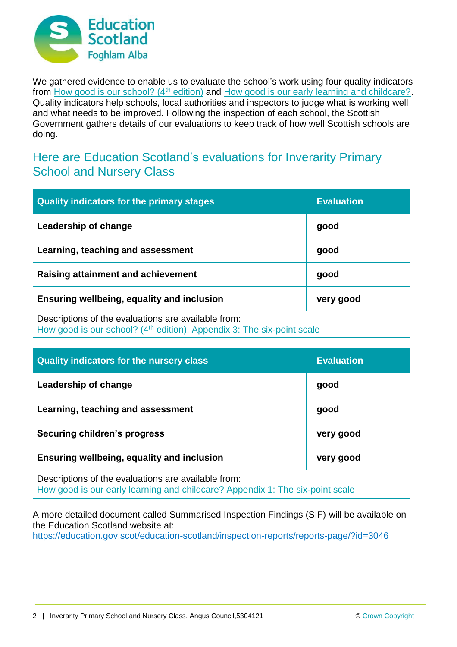

We gathered evidence to enable us to evaluate the school's work using four quality indicators from [How good is our school? \(4](https://education.gov.scot/improvement/Documents/Frameworks_SelfEvaluation/FRWK2_NIHeditHGIOS/FRWK2_HGIOS4.pdf)<sup>th</sup> edition) and [How good is our early learning and childcare?.](https://education.gov.scot/improvement/Documents/Frameworks_SelfEvaluation/FRWK1_NIHeditSelf-evaluationHGIELC/HGIOELC020316Revised.pdf) Quality indicators help schools, local authorities and inspectors to judge what is working well and what needs to be improved. Following the inspection of each school, the Scottish Government gathers details of our evaluations to keep track of how well Scottish schools are doing.

## Here are Education Scotland's evaluations for Inverarity Primary School and Nursery Class

| <b>Quality indicators for the primary stages</b>                                                                                          | <b>Evaluation</b> |
|-------------------------------------------------------------------------------------------------------------------------------------------|-------------------|
| Leadership of change                                                                                                                      | good              |
| Learning, teaching and assessment                                                                                                         | good              |
| <b>Raising attainment and achievement</b>                                                                                                 | good              |
| <b>Ensuring wellbeing, equality and inclusion</b>                                                                                         | very good         |
| Descriptions of the evaluations are available from:<br>How good is our school? (4 <sup>th</sup> edition), Appendix 3: The six-point scale |                   |

| <b>Quality indicators for the nursery class</b>                                                                                      | <b>Evaluation</b> |
|--------------------------------------------------------------------------------------------------------------------------------------|-------------------|
| Leadership of change                                                                                                                 | good              |
| Learning, teaching and assessment                                                                                                    | good              |
| <b>Securing children's progress</b>                                                                                                  | very good         |
| Ensuring wellbeing, equality and inclusion                                                                                           | very good         |
| Descriptions of the evaluations are available from:<br>How good is our early learning and childcare? Appendix 1: The six-point scale |                   |

A more detailed document called Summarised Inspection Findings (SIF) will be available on the Education Scotland website at:

<https://education.gov.scot/education-scotland/inspection-reports/reports-page/?id=3046>